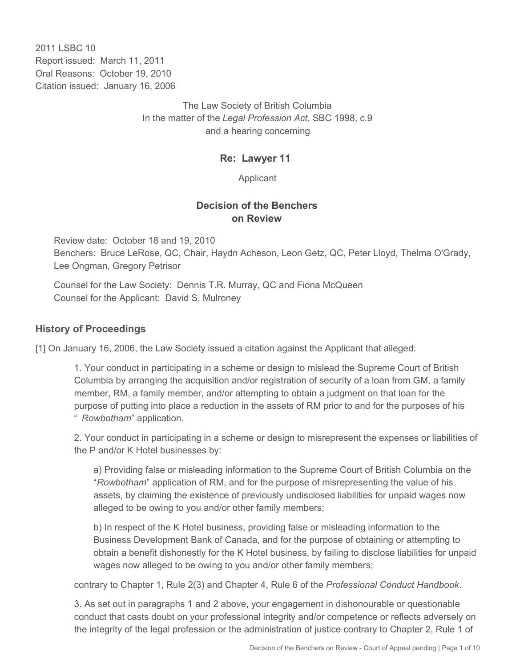2011 I SBC 10 Report issued: March 11, 2011 Oral Reasons: October 19, 2010 Citation issued: January 16, 2006

> The Law Society of British Columbia In the matter of the *Legal Profession Act*, SBC 1998, c.9 and a hearing concerning

### **Re: Lawyer 11**

Applicant

### **Decision of the Benchers on Review**

Review date: October 18 and 19, 2010 Benchers: Bruce LeRose, QC, Chair, Haydn Acheson, Leon Getz, QC, Peter Lloyd, Thelma O'Grady, Lee Ongman, Gregory Petrisor

Counsel for the Law Society: Dennis T.R. Murray, QC and Fiona McQueen Counsel for the Applicant: David S. Mulroney

### **History of Proceedings**

[1] On January 16, 2006, the Law Society issued a citation against the Applicant that alleged:

1. Your conduct in participating in a scheme or design to mislead the Supreme Court of British Columbia by arranging the acquisition and/or registration of security of a loan from GM, a family member, RM, a family member, and/or attempting to obtain a judgment on that loan for the purpose of putting into place a reduction in the assets of RM prior to and for the purposes of his " *Rowbotham*" application.

2. Your conduct in participating in a scheme or design to misrepresent the expenses or liabilities of the P and/or K Hotel businesses by:

a) Providing false or misleading information to the Supreme Court of British Columbia on the "*Rowbotham*" application of RM, and for the purpose of misrepresenting the value of his assets, by claiming the existence of previously undisclosed liabilities for unpaid wages now alleged to be owing to you and/or other family members;

b) In respect of the K Hotel business, providing false or misleading information to the Business Development Bank of Canada, and for the purpose of obtaining or attempting to obtain a benefit dishonestly for the K Hotel business, by failing to disclose liabilities for unpaid wages now alleged to be owing to you and/or other family members;

contrary to Chapter 1, Rule 2(3) and Chapter 4, Rule 6 of the *Professional Conduct Handbook*.

3. As set out in paragraphs 1 and 2 above, your engagement in dishonourable or questionable conduct that casts doubt on your professional integrity and/or competence or reflects adversely on the integrity of the legal profession or the administration of justice contrary to Chapter 2, Rule 1 of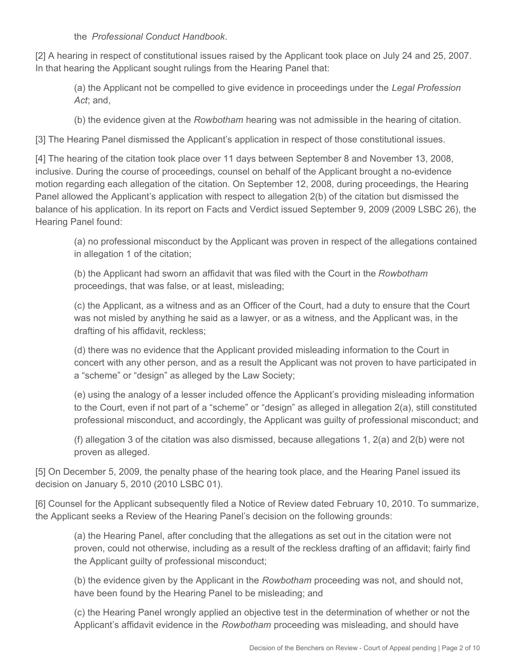the *Professional Conduct Handbook*.

[2] A hearing in respect of constitutional issues raised by the Applicant took place on July 24 and 25, 2007. In that hearing the Applicant sought rulings from the Hearing Panel that:

(a) the Applicant not be compelled to give evidence in proceedings under the *Legal Profession Act*; and,

(b) the evidence given at the *Rowbotham* hearing was not admissible in the hearing of citation.

[3] The Hearing Panel dismissed the Applicant's application in respect of those constitutional issues.

[4] The hearing of the citation took place over 11 days between September 8 and November 13, 2008, inclusive. During the course of proceedings, counsel on behalf of the Applicant brought a no-evidence motion regarding each allegation of the citation. On September 12, 2008, during proceedings, the Hearing Panel allowed the Applicant's application with respect to allegation 2(b) of the citation but dismissed the balance of his application. In its report on Facts and Verdict issued September 9, 2009 (2009 LSBC 26), the Hearing Panel found:

(a) no professional misconduct by the Applicant was proven in respect of the allegations contained in allegation 1 of the citation;

(b) the Applicant had sworn an affidavit that was filed with the Court in the *Rowbotham*  proceedings, that was false, or at least, misleading;

(c) the Applicant, as a witness and as an Officer of the Court, had a duty to ensure that the Court was not misled by anything he said as a lawyer, or as a witness, and the Applicant was, in the drafting of his affidavit, reckless;

(d) there was no evidence that the Applicant provided misleading information to the Court in concert with any other person, and as a result the Applicant was not proven to have participated in a "scheme" or "design" as alleged by the Law Society;

(e) using the analogy of a lesser included offence the Applicant's providing misleading information to the Court, even if not part of a "scheme" or "design" as alleged in allegation 2(a), still constituted professional misconduct, and accordingly, the Applicant was guilty of professional misconduct; and

(f) allegation 3 of the citation was also dismissed, because allegations 1, 2(a) and 2(b) were not proven as alleged.

[5] On December 5, 2009, the penalty phase of the hearing took place, and the Hearing Panel issued its decision on January 5, 2010 (2010 LSBC 01).

[6] Counsel for the Applicant subsequently filed a Notice of Review dated February 10, 2010. To summarize, the Applicant seeks a Review of the Hearing Panel's decision on the following grounds:

(a) the Hearing Panel, after concluding that the allegations as set out in the citation were not proven, could not otherwise, including as a result of the reckless drafting of an affidavit; fairly find the Applicant guilty of professional misconduct;

(b) the evidence given by the Applicant in the *Rowbotham* proceeding was not, and should not, have been found by the Hearing Panel to be misleading; and

(c) the Hearing Panel wrongly applied an objective test in the determination of whether or not the Applicant's affidavit evidence in the *Rowbotham* proceeding was misleading, and should have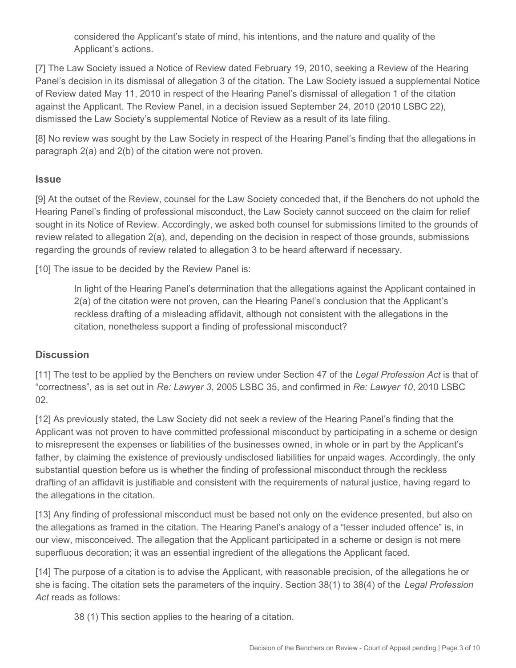considered the Applicant's state of mind, his intentions, and the nature and quality of the Applicant's actions.

[7] The Law Society issued a Notice of Review dated February 19, 2010, seeking a Review of the Hearing Panel's decision in its dismissal of allegation 3 of the citation. The Law Society issued a supplemental Notice of Review dated May 11, 2010 in respect of the Hearing Panel's dismissal of allegation 1 of the citation against the Applicant. The Review Panel, in a decision issued September 24, 2010 (2010 LSBC 22), dismissed the Law Society's supplemental Notice of Review as a result of its late filing.

[8] No review was sought by the Law Society in respect of the Hearing Panel's finding that the allegations in paragraph 2(a) and 2(b) of the citation were not proven.

### **Issue**

[9] At the outset of the Review, counsel for the Law Society conceded that, if the Benchers do not uphold the Hearing Panel's finding of professional misconduct, the Law Society cannot succeed on the claim for relief sought in its Notice of Review. Accordingly, we asked both counsel for submissions limited to the grounds of review related to allegation 2(a), and, depending on the decision in respect of those grounds, submissions regarding the grounds of review related to allegation 3 to be heard afterward if necessary.

[10] The issue to be decided by the Review Panel is:

In light of the Hearing Panel's determination that the allegations against the Applicant contained in 2(a) of the citation were not proven, can the Hearing Panel's conclusion that the Applicant's reckless drafting of a misleading affidavit, although not consistent with the allegations in the citation, nonetheless support a finding of professional misconduct?

## **Discussion**

[11] The test to be applied by the Benchers on review under Section 47 of the *Legal Profession Act* is that of "correctness", as is set out in *Re: Lawyer 3*, 2005 LSBC 35, and confirmed in *Re: Lawyer 10*, 2010 LSBC 02.

[12] As previously stated, the Law Society did not seek a review of the Hearing Panel's finding that the Applicant was not proven to have committed professional misconduct by participating in a scheme or design to misrepresent the expenses or liabilities of the businesses owned, in whole or in part by the Applicant's father, by claiming the existence of previously undisclosed liabilities for unpaid wages. Accordingly, the only substantial question before us is whether the finding of professional misconduct through the reckless drafting of an affidavit is justifiable and consistent with the requirements of natural justice, having regard to the allegations in the citation.

[13] Any finding of professional misconduct must be based not only on the evidence presented, but also on the allegations as framed in the citation. The Hearing Panel's analogy of a "lesser included offence" is, in our view, misconceived. The allegation that the Applicant participated in a scheme or design is not mere superfluous decoration; it was an essential ingredient of the allegations the Applicant faced.

[14] The purpose of a citation is to advise the Applicant, with reasonable precision, of the allegations he or she is facing. The citation sets the parameters of the inquiry. Section 38(1) to 38(4) of the *Legal Profession Act* reads as follows:

38 (1) This section applies to the hearing of a citation.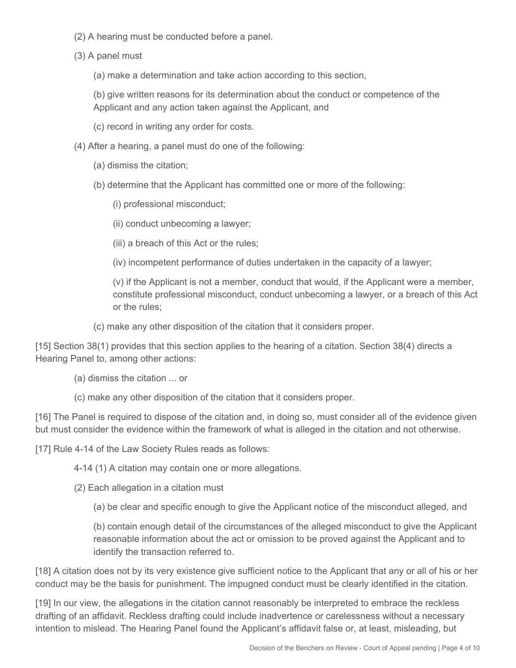- (2) A hearing must be conducted before a panel.
- (3) A panel must
	- (a) make a determination and take action according to this section,

(b) give written reasons for its determination about the conduct or competence of the Applicant and any action taken against the Applicant, and

- (c) record in writing any order for costs.
- (4) After a hearing, a panel must do one of the following:
	- (a) dismiss the citation;
	- (b) determine that the Applicant has committed one or more of the following:
		- (i) professional misconduct;
		- (ii) conduct unbecoming a lawyer;
		- (iii) a breach of this Act or the rules;
		- (iv) incompetent performance of duties undertaken in the capacity of a lawyer;

(v) if the Applicant is not a member, conduct that would, if the Applicant were a member, constitute professional misconduct, conduct unbecoming a lawyer, or a breach of this Act or the rules;

(c) make any other disposition of the citation that it considers proper.

[15] Section 38(1) provides that this section applies to the hearing of a citation. Section 38(4) directs a Hearing Panel to, among other actions:

- (a) dismiss the citation ... or
- (c) make any other disposition of the citation that it considers proper.

[16] The Panel is required to dispose of the citation and, in doing so, must consider all of the evidence given but must consider the evidence within the framework of what is alleged in the citation and not otherwise.

[17] Rule 4-14 of the Law Society Rules reads as follows:

4-14 (1) A citation may contain one or more allegations.

(2) Each allegation in a citation must

(a) be clear and specific enough to give the Applicant notice of the misconduct alleged, and

(b) contain enough detail of the circumstances of the alleged misconduct to give the Applicant reasonable information about the act or omission to be proved against the Applicant and to identify the transaction referred to.

[18] A citation does not by its very existence give sufficient notice to the Applicant that any or all of his or her conduct may be the basis for punishment. The impugned conduct must be clearly identified in the citation.

[19] In our view, the allegations in the citation cannot reasonably be interpreted to embrace the reckless drafting of an affidavit. Reckless drafting could include inadvertence or carelessness without a necessary intention to mislead. The Hearing Panel found the Applicant's affidavit false or, at least, misleading, but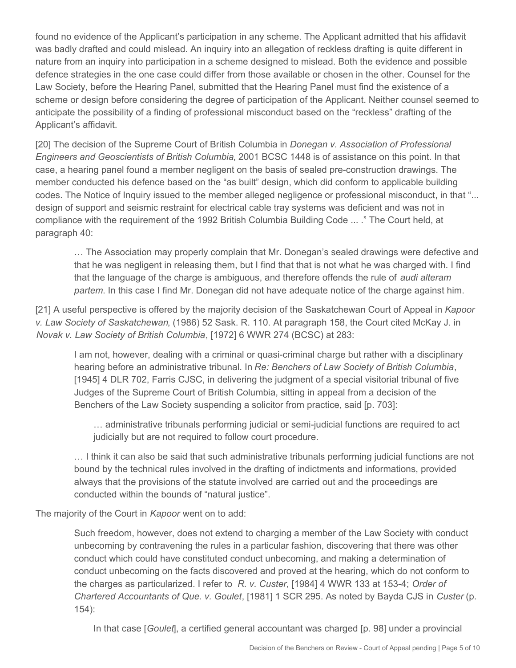found no evidence of the Applicant's participation in any scheme. The Applicant admitted that his affidavit was badly drafted and could mislead. An inquiry into an allegation of reckless drafting is quite different in nature from an inquiry into participation in a scheme designed to mislead. Both the evidence and possible defence strategies in the one case could differ from those available or chosen in the other. Counsel for the Law Society, before the Hearing Panel, submitted that the Hearing Panel must find the existence of a scheme or design before considering the degree of participation of the Applicant. Neither counsel seemed to anticipate the possibility of a finding of professional misconduct based on the "reckless" drafting of the Applicant's affidavit.

[20] The decision of the Supreme Court of British Columbia in *Donegan v. Association of Professional Engineers and Geoscientists of British Columbia*, 2001 BCSC 1448 is of assistance on this point. In that case, a hearing panel found a member negligent on the basis of sealed pre-construction drawings. The member conducted his defence based on the "as built" design, which did conform to applicable building codes. The Notice of Inquiry issued to the member alleged negligence or professional misconduct, in that "... design of support and seismic restraint for electrical cable tray systems was deficient and was not in compliance with the requirement of the 1992 British Columbia Building Code ... ." The Court held, at paragraph 40:

… The Association may properly complain that Mr. Donegan's sealed drawings were defective and that he was negligent in releasing them, but I find that that is not what he was charged with. I find that the language of the charge is ambiguous, and therefore offends the rule of *audi alteram partem*. In this case I find Mr. Donegan did not have adequate notice of the charge against him.

[21] A useful perspective is offered by the majority decision of the Saskatchewan Court of Appeal in *Kapoor v. Law Society of Saskatchewan*, (1986) 52 Sask. R. 110. At paragraph 158, the Court cited McKay J. in *Novak v. Law Society of British Columbia*, [1972] 6 WWR 274 (BCSC) at 283:

I am not, however, dealing with a criminal or quasi-criminal charge but rather with a disciplinary hearing before an administrative tribunal. In *Re: Benchers of Law Society of British Columbia*, [1945] 4 DLR 702, Farris CJSC, in delivering the judgment of a special visitorial tribunal of five Judges of the Supreme Court of British Columbia, sitting in appeal from a decision of the Benchers of the Law Society suspending a solicitor from practice, said [p. 703]:

… administrative tribunals performing judicial or semi-judicial functions are required to act judicially but are not required to follow court procedure.

… I think it can also be said that such administrative tribunals performing judicial functions are not bound by the technical rules involved in the drafting of indictments and informations, provided always that the provisions of the statute involved are carried out and the proceedings are conducted within the bounds of "natural justice".

The majority of the Court in *Kapoor* went on to add:

Such freedom, however, does not extend to charging a member of the Law Society with conduct unbecoming by contravening the rules in a particular fashion, discovering that there was other conduct which could have constituted conduct unbecoming, and making a determination of conduct unbecoming on the facts discovered and proved at the hearing, which do not conform to the charges as particularized. I refer to *R. v. Custer*, [1984] 4 WWR 133 at 153-4; *Order of Chartered Accountants of Que. v. Goulet*, [1981] 1 SCR 295. As noted by Bayda CJS in *Custer* (p. 154):

In that case [*Goulet*], a certified general accountant was charged [p. 98] under a provincial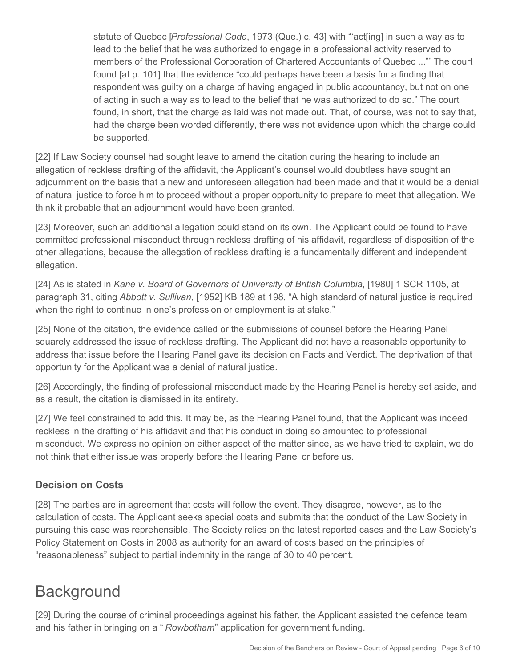statute of Quebec [*Professional Code*, 1973 (Que.) c. 43] with "'act[ing] in such a way as to lead to the belief that he was authorized to engage in a professional activity reserved to members of the Professional Corporation of Chartered Accountants of Quebec ..."' The court found [at p. 101] that the evidence "could perhaps have been a basis for a finding that respondent was guilty on a charge of having engaged in public accountancy, but not on one of acting in such a way as to lead to the belief that he was authorized to do so." The court found, in short, that the charge as laid was not made out. That, of course, was not to say that, had the charge been worded differently, there was not evidence upon which the charge could be supported.

[22] If Law Society counsel had sought leave to amend the citation during the hearing to include an allegation of reckless drafting of the affidavit, the Applicant's counsel would doubtless have sought an adjournment on the basis that a new and unforeseen allegation had been made and that it would be a denial of natural justice to force him to proceed without a proper opportunity to prepare to meet that allegation. We think it probable that an adjournment would have been granted.

[23] Moreover, such an additional allegation could stand on its own. The Applicant could be found to have committed professional misconduct through reckless drafting of his affidavit, regardless of disposition of the other allegations, because the allegation of reckless drafting is a fundamentally different and independent allegation.

[24] As is stated in *Kane v. Board of Governors of University of British Columbia*, [1980] 1 SCR 1105, at paragraph 31, citing *Abbott v. Sullivan*, [1952] KB 189 at 198, "A high standard of natural justice is required when the right to continue in one's profession or employment is at stake."

[25] None of the citation, the evidence called or the submissions of counsel before the Hearing Panel squarely addressed the issue of reckless drafting. The Applicant did not have a reasonable opportunity to address that issue before the Hearing Panel gave its decision on Facts and Verdict. The deprivation of that opportunity for the Applicant was a denial of natural justice.

[26] Accordingly, the finding of professional misconduct made by the Hearing Panel is hereby set aside, and as a result, the citation is dismissed in its entirety.

[27] We feel constrained to add this. It may be, as the Hearing Panel found, that the Applicant was indeed reckless in the drafting of his affidavit and that his conduct in doing so amounted to professional misconduct. We express no opinion on either aspect of the matter since, as we have tried to explain, we do not think that either issue was properly before the Hearing Panel or before us.

## **Decision on Costs**

[28] The parties are in agreement that costs will follow the event. They disagree, however, as to the calculation of costs. The Applicant seeks special costs and submits that the conduct of the Law Society in pursuing this case was reprehensible. The Society relies on the latest reported cases and the Law Society's Policy Statement on Costs in 2008 as authority for an award of costs based on the principles of "reasonableness" subject to partial indemnity in the range of 30 to 40 percent.

# **Background**

[29] During the course of criminal proceedings against his father, the Applicant assisted the defence team and his father in bringing on a " *Rowbotham*" application for government funding.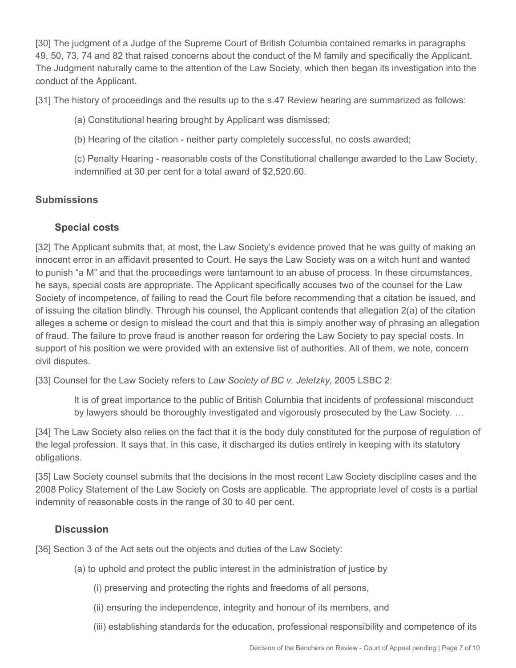[30] The judgment of a Judge of the Supreme Court of British Columbia contained remarks in paragraphs 49, 50, 73, 74 and 82 that raised concerns about the conduct of the M family and specifically the Applicant. The Judgment naturally came to the attention of the Law Society, which then began its investigation into the conduct of the Applicant.

[31] The history of proceedings and the results up to the s.47 Review hearing are summarized as follows:

- (a) Constitutional hearing brought by Applicant was dismissed;
- (b) Hearing of the citation neither party completely successful, no costs awarded;

(c) Penalty Hearing - reasonable costs of the Constitutional challenge awarded to the Law Society, indemnified at 30 per cent for a total award of \$2,520.60.

## **Submissions**

## **Special costs**

[32] The Applicant submits that, at most, the Law Society's evidence proved that he was guilty of making an innocent error in an affidavit presented to Court. He says the Law Society was on a witch hunt and wanted to punish "a M" and that the proceedings were tantamount to an abuse of process. In these circumstances, he says, special costs are appropriate. The Applicant specifically accuses two of the counsel for the Law Society of incompetence, of failing to read the Court file before recommending that a citation be issued, and of issuing the citation blindly. Through his counsel, the Applicant contends that allegation 2(a) of the citation alleges a scheme or design to mislead the court and that this is simply another way of phrasing an allegation of fraud. The failure to prove fraud is another reason for ordering the Law Society to pay special costs. In support of his position we were provided with an extensive list of authorities. All of them, we note, concern civil disputes.

[33] Counsel for the Law Society refers to *Law Society of BC v. Jeletzky*, 2005 LSBC 2:

It is of great importance to the public of British Columbia that incidents of professional misconduct by lawyers should be thoroughly investigated and vigorously prosecuted by the Law Society. …

[34] The Law Society also relies on the fact that it is the body duly constituted for the purpose of regulation of the legal profession. It says that, in this case, it discharged its duties entirely in keeping with its statutory obligations.

[35] Law Society counsel submits that the decisions in the most recent Law Society discipline cases and the 2008 Policy Statement of the Law Society on Costs are applicable. The appropriate level of costs is a partial indemnity of reasonable costs in the range of 30 to 40 per cent.

## **Discussion**

[36] Section 3 of the Act sets out the objects and duties of the Law Society:

- (a) to uphold and protect the public interest in the administration of justice by
	- (i) preserving and protecting the rights and freedoms of all persons,
	- (ii) ensuring the independence, integrity and honour of its members, and
	- (iii) establishing standards for the education, professional responsibility and competence of its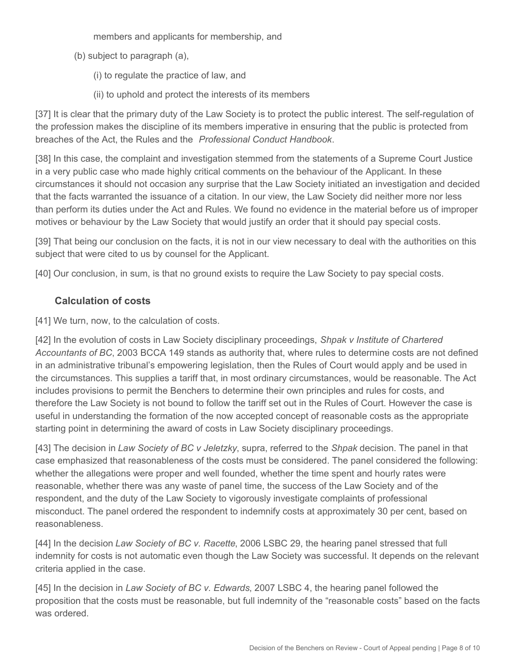members and applicants for membership, and

- (b) subject to paragraph (a),
	- (i) to regulate the practice of law, and
	- (ii) to uphold and protect the interests of its members

[37] It is clear that the primary duty of the Law Society is to protect the public interest. The self-regulation of the profession makes the discipline of its members imperative in ensuring that the public is protected from breaches of the Act, the Rules and the *Professional Conduct Handbook*.

[38] In this case, the complaint and investigation stemmed from the statements of a Supreme Court Justice in a very public case who made highly critical comments on the behaviour of the Applicant. In these circumstances it should not occasion any surprise that the Law Society initiated an investigation and decided that the facts warranted the issuance of a citation. In our view, the Law Society did neither more nor less than perform its duties under the Act and Rules. We found no evidence in the material before us of improper motives or behaviour by the Law Society that would justify an order that it should pay special costs.

[39] That being our conclusion on the facts, it is not in our view necessary to deal with the authorities on this subject that were cited to us by counsel for the Applicant.

[40] Our conclusion, in sum, is that no ground exists to require the Law Society to pay special costs.

## **Calculation of costs**

[41] We turn, now, to the calculation of costs.

[42] In the evolution of costs in Law Society disciplinary proceedings, *Shpak v Institute of Chartered Accountants of BC*, 2003 BCCA 149 stands as authority that, where rules to determine costs are not defined in an administrative tribunal's empowering legislation, then the Rules of Court would apply and be used in the circumstances. This supplies a tariff that, in most ordinary circumstances, would be reasonable. The Act includes provisions to permit the Benchers to determine their own principles and rules for costs, and therefore the Law Society is not bound to follow the tariff set out in the Rules of Court. However the case is useful in understanding the formation of the now accepted concept of reasonable costs as the appropriate starting point in determining the award of costs in Law Society disciplinary proceedings.

[43] The decision in *Law Society of BC v Jeletzky*, supra, referred to the *Shpak* decision. The panel in that case emphasized that reasonableness of the costs must be considered. The panel considered the following: whether the allegations were proper and well founded, whether the time spent and hourly rates were reasonable, whether there was any waste of panel time, the success of the Law Society and of the respondent, and the duty of the Law Society to vigorously investigate complaints of professional misconduct. The panel ordered the respondent to indemnify costs at approximately 30 per cent, based on reasonableness.

[44] In the decision *Law Society of BC v. Racette*, 2006 LSBC 29, the hearing panel stressed that full indemnity for costs is not automatic even though the Law Society was successful. It depends on the relevant criteria applied in the case.

[45] In the decision in *Law Society of BC v. Edwards*, 2007 LSBC 4, the hearing panel followed the proposition that the costs must be reasonable, but full indemnity of the "reasonable costs" based on the facts was ordered.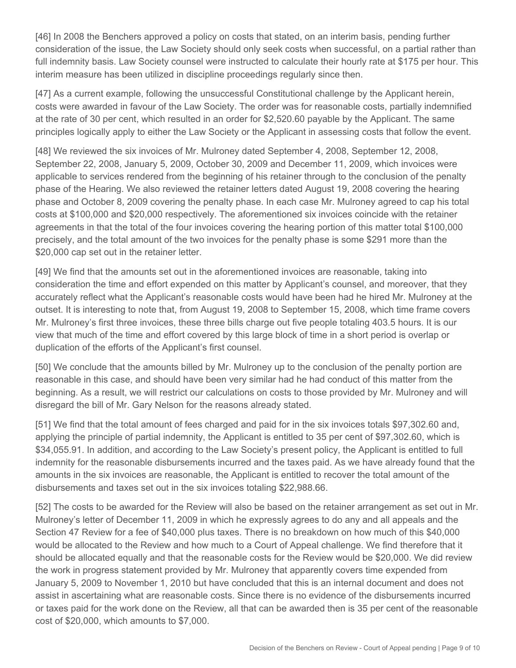[46] In 2008 the Benchers approved a policy on costs that stated, on an interim basis, pending further consideration of the issue, the Law Society should only seek costs when successful, on a partial rather than full indemnity basis. Law Society counsel were instructed to calculate their hourly rate at \$175 per hour. This interim measure has been utilized in discipline proceedings regularly since then.

[47] As a current example, following the unsuccessful Constitutional challenge by the Applicant herein, costs were awarded in favour of the Law Society. The order was for reasonable costs, partially indemnified at the rate of 30 per cent, which resulted in an order for \$2,520.60 payable by the Applicant. The same principles logically apply to either the Law Society or the Applicant in assessing costs that follow the event.

[48] We reviewed the six invoices of Mr. Mulroney dated September 4, 2008, September 12, 2008, September 22, 2008, January 5, 2009, October 30, 2009 and December 11, 2009, which invoices were applicable to services rendered from the beginning of his retainer through to the conclusion of the penalty phase of the Hearing. We also reviewed the retainer letters dated August 19, 2008 covering the hearing phase and October 8, 2009 covering the penalty phase. In each case Mr. Mulroney agreed to cap his total costs at \$100,000 and \$20,000 respectively. The aforementioned six invoices coincide with the retainer agreements in that the total of the four invoices covering the hearing portion of this matter total \$100,000 precisely, and the total amount of the two invoices for the penalty phase is some \$291 more than the \$20,000 cap set out in the retainer letter.

[49] We find that the amounts set out in the aforementioned invoices are reasonable, taking into consideration the time and effort expended on this matter by Applicant's counsel, and moreover, that they accurately reflect what the Applicant's reasonable costs would have been had he hired Mr. Mulroney at the outset. It is interesting to note that, from August 19, 2008 to September 15, 2008, which time frame covers Mr. Mulroney's first three invoices, these three bills charge out five people totaling 403.5 hours. It is our view that much of the time and effort covered by this large block of time in a short period is overlap or duplication of the efforts of the Applicant's first counsel.

[50] We conclude that the amounts billed by Mr. Mulroney up to the conclusion of the penalty portion are reasonable in this case, and should have been very similar had he had conduct of this matter from the beginning. As a result, we will restrict our calculations on costs to those provided by Mr. Mulroney and will disregard the bill of Mr. Gary Nelson for the reasons already stated.

[51] We find that the total amount of fees charged and paid for in the six invoices totals \$97,302.60 and, applying the principle of partial indemnity, the Applicant is entitled to 35 per cent of \$97,302.60, which is \$34,055.91. In addition, and according to the Law Society's present policy, the Applicant is entitled to full indemnity for the reasonable disbursements incurred and the taxes paid. As we have already found that the amounts in the six invoices are reasonable, the Applicant is entitled to recover the total amount of the disbursements and taxes set out in the six invoices totaling \$22,988.66.

[52] The costs to be awarded for the Review will also be based on the retainer arrangement as set out in Mr. Mulroney's letter of December 11, 2009 in which he expressly agrees to do any and all appeals and the Section 47 Review for a fee of \$40,000 plus taxes. There is no breakdown on how much of this \$40,000 would be allocated to the Review and how much to a Court of Appeal challenge. We find therefore that it should be allocated equally and that the reasonable costs for the Review would be \$20,000. We did review the work in progress statement provided by Mr. Mulroney that apparently covers time expended from January 5, 2009 to November 1, 2010 but have concluded that this is an internal document and does not assist in ascertaining what are reasonable costs. Since there is no evidence of the disbursements incurred or taxes paid for the work done on the Review, all that can be awarded then is 35 per cent of the reasonable cost of \$20,000, which amounts to \$7,000.